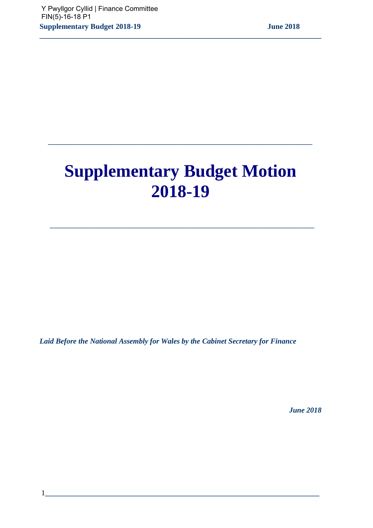# **Supplementary Budget Motion 2018-19**

 **\_\_\_\_\_\_\_\_\_\_\_\_\_\_\_\_\_\_\_\_\_\_\_\_\_\_\_\_\_\_\_\_\_\_\_\_\_\_** 

**\_\_\_\_\_\_\_\_\_\_\_\_\_\_\_\_\_\_\_\_\_\_\_\_\_\_\_\_\_\_\_\_\_\_\_\_\_\_** 

**\_\_\_\_\_\_\_\_\_\_\_\_\_\_\_\_\_\_\_\_\_\_\_\_\_\_\_\_\_\_\_\_\_\_\_\_\_\_\_\_\_\_\_\_\_\_\_\_\_\_\_\_\_\_\_\_\_\_\_\_\_\_\_\_\_\_\_\_\_\_\_\_\_\_\_** 

*Laid Before the National Assembly for Wales by the Cabinet Secretary for Finance* 

 *June 2018*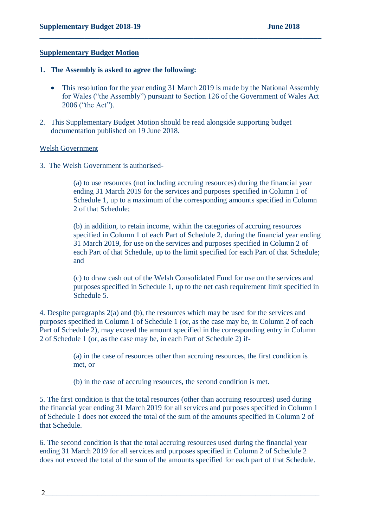#### **Supplementary Budget Motion**

#### **1. The Assembly is asked to agree the following:**

• This resolution for the year ending 31 March 2019 is made by the National Assembly for Wales ("the Assembly") pursuant to Section 126 of the Government of Wales Act 2006 ("the Act").

**\_\_\_\_\_\_\_\_\_\_\_\_\_\_\_\_\_\_\_\_\_\_\_\_\_\_\_\_\_\_\_\_\_\_\_\_\_\_\_\_\_\_\_\_\_\_\_\_\_\_\_\_\_\_\_\_\_\_\_\_\_\_\_\_\_\_\_\_\_\_\_\_\_\_\_**

2. This Supplementary Budget Motion should be read alongside supporting budget documentation published on 19 June 2018.

#### Welsh Government

3. The Welsh Government is authorised-

(a) to use resources (not including accruing resources) during the financial year ending 31 March 2019 for the services and purposes specified in Column 1 of Schedule 1, up to a maximum of the corresponding amounts specified in Column 2 of that Schedule;

(b) in addition, to retain income, within the categories of accruing resources specified in Column 1 of each Part of Schedule 2, during the financial year ending 31 March 2019, for use on the services and purposes specified in Column 2 of each Part of that Schedule, up to the limit specified for each Part of that Schedule; and

(c) to draw cash out of the Welsh Consolidated Fund for use on the services and purposes specified in Schedule 1, up to the net cash requirement limit specified in Schedule 5.

4. Despite paragraphs 2(a) and (b), the resources which may be used for the services and purposes specified in Column 1 of Schedule 1 (or, as the case may be, in Column 2 of each Part of Schedule 2), may exceed the amount specified in the corresponding entry in Column 2 of Schedule 1 (or, as the case may be, in each Part of Schedule 2) if-

> (a) in the case of resources other than accruing resources, the first condition is met, or

(b) in the case of accruing resources, the second condition is met.

5. The first condition is that the total resources (other than accruing resources) used during the financial year ending 31 March 2019 for all services and purposes specified in Column 1 of Schedule 1 does not exceed the total of the sum of the amounts specified in Column 2 of that Schedule.

6. The second condition is that the total accruing resources used during the financial year ending 31 March 2019 for all services and purposes specified in Column 2 of Schedule 2 does not exceed the total of the sum of the amounts specified for each part of that Schedule.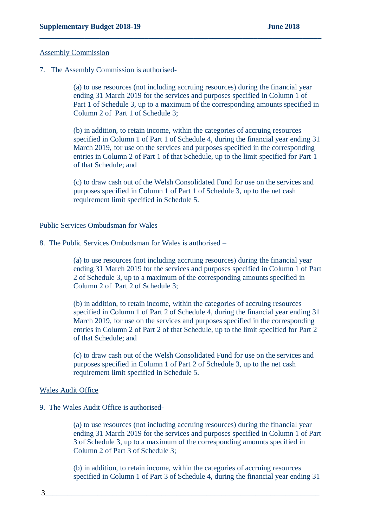#### Assembly Commission

7. The Assembly Commission is authorised-

(a) to use resources (not including accruing resources) during the financial year ending 31 March 2019 for the services and purposes specified in Column 1 of Part 1 of Schedule 3, up to a maximum of the corresponding amounts specified in Column 2 of Part 1 of Schedule 3;

**\_\_\_\_\_\_\_\_\_\_\_\_\_\_\_\_\_\_\_\_\_\_\_\_\_\_\_\_\_\_\_\_\_\_\_\_\_\_\_\_\_\_\_\_\_\_\_\_\_\_\_\_\_\_\_\_\_\_\_\_\_\_\_\_\_\_\_\_\_\_\_\_\_\_\_**

(b) in addition, to retain income, within the categories of accruing resources specified in Column 1 of Part 1 of Schedule 4, during the financial year ending 31 March 2019, for use on the services and purposes specified in the corresponding entries in Column 2 of Part 1 of that Schedule, up to the limit specified for Part 1 of that Schedule; and

(c) to draw cash out of the Welsh Consolidated Fund for use on the services and purposes specified in Column 1 of Part 1 of Schedule 3, up to the net cash requirement limit specified in Schedule 5.

#### Public Services Ombudsman for Wales

8. The Public Services Ombudsman for Wales is authorised –

(a) to use resources (not including accruing resources) during the financial year ending 31 March 2019 for the services and purposes specified in Column 1 of Part 2 of Schedule 3, up to a maximum of the corresponding amounts specified in Column 2 of Part 2 of Schedule 3;

(b) in addition, to retain income, within the categories of accruing resources specified in Column 1 of Part 2 of Schedule 4, during the financial year ending 31 March 2019, for use on the services and purposes specified in the corresponding entries in Column 2 of Part 2 of that Schedule, up to the limit specified for Part 2 of that Schedule; and

(c) to draw cash out of the Welsh Consolidated Fund for use on the services and purposes specified in Column 1 of Part 2 of Schedule 3, up to the net cash requirement limit specified in Schedule 5.

#### Wales Audit Office

9. The Wales Audit Office is authorised-

(a) to use resources (not including accruing resources) during the financial year ending 31 March 2019 for the services and purposes specified in Column 1 of Part 3 of Schedule 3, up to a maximum of the corresponding amounts specified in Column 2 of Part 3 of Schedule 3;

(b) in addition, to retain income, within the categories of accruing resources specified in Column 1 of Part 3 of Schedule 4, during the financial year ending 31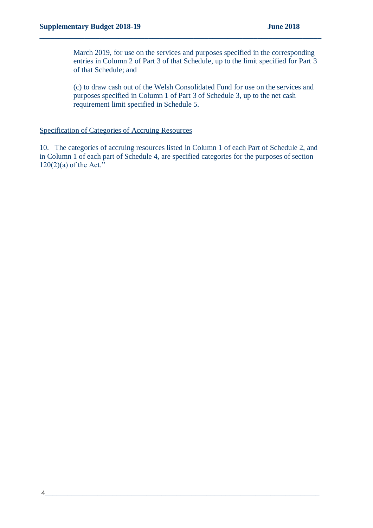March 2019, for use on the services and purposes specified in the corresponding entries in Column 2 of Part 3 of that Schedule, up to the limit specified for Part 3 of that Schedule; and

**\_\_\_\_\_\_\_\_\_\_\_\_\_\_\_\_\_\_\_\_\_\_\_\_\_\_\_\_\_\_\_\_\_\_\_\_\_\_\_\_\_\_\_\_\_\_\_\_\_\_\_\_\_\_\_\_\_\_\_\_\_\_\_\_\_\_\_\_\_\_\_\_\_\_\_**

(c) to draw cash out of the Welsh Consolidated Fund for use on the services and purposes specified in Column 1 of Part 3 of Schedule 3, up to the net cash requirement limit specified in Schedule 5.

#### Specification of Categories of Accruing Resources

10. The categories of accruing resources listed in Column 1 of each Part of Schedule 2, and in Column 1 of each part of Schedule 4, are specified categories for the purposes of section  $120(2)(a)$  of the Act."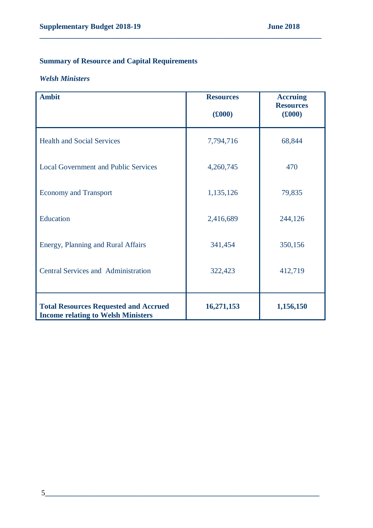# **Summary of Resource and Capital Requirements**

#### *Welsh Ministers*

| <b>Ambit</b>                                                                              | <b>Resources</b><br>(£000) | <b>Accruing</b><br><b>Resources</b><br>(6000) |
|-------------------------------------------------------------------------------------------|----------------------------|-----------------------------------------------|
| <b>Health and Social Services</b>                                                         | 7,794,716                  | 68,844                                        |
| <b>Local Government and Public Services</b>                                               | 4,260,745                  | 470                                           |
| <b>Economy and Transport</b>                                                              | 1,135,126                  | 79,835                                        |
| Education                                                                                 | 2,416,689                  | 244,126                                       |
| Energy, Planning and Rural Affairs                                                        | 341,454                    | 350,156                                       |
| <b>Central Services and Administration</b>                                                | 322,423                    | 412,719                                       |
| <b>Total Resources Requested and Accrued</b><br><b>Income relating to Welsh Ministers</b> | 16,271,153                 | 1,156,150                                     |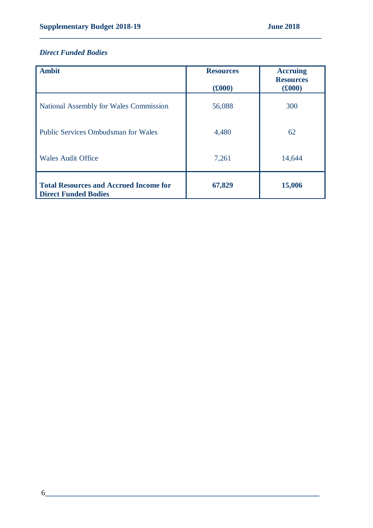# *Direct Funded Bodies*

| <b>Ambit</b>                                                                 | <b>Resources</b><br>$(£000)$ | <b>Accruing</b><br><b>Resources</b><br>(6000) |
|------------------------------------------------------------------------------|------------------------------|-----------------------------------------------|
| National Assembly for Wales Commission                                       | 56,088                       | 300                                           |
| <b>Public Services Ombudsman for Wales</b>                                   | 4,480                        | 62                                            |
| <b>Wales Audit Office</b>                                                    | 7,261                        | 14,644                                        |
| <b>Total Resources and Accrued Income for</b><br><b>Direct Funded Bodies</b> | 67,829                       | 15,006                                        |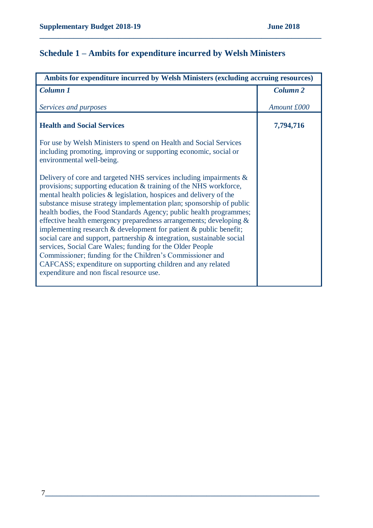# **Schedule 1 – Ambits for expenditure incurred by Welsh Ministers**

| Ambits for expenditure incurred by Welsh Ministers (excluding accruing resources)                                                                                                                                                                                                                                                                                                                                                                                                                                                                                                                                                                                                                                                                                                                                                  |                     |  |
|------------------------------------------------------------------------------------------------------------------------------------------------------------------------------------------------------------------------------------------------------------------------------------------------------------------------------------------------------------------------------------------------------------------------------------------------------------------------------------------------------------------------------------------------------------------------------------------------------------------------------------------------------------------------------------------------------------------------------------------------------------------------------------------------------------------------------------|---------------------|--|
| Column 1                                                                                                                                                                                                                                                                                                                                                                                                                                                                                                                                                                                                                                                                                                                                                                                                                           | Column <sub>2</sub> |  |
| Services and purposes                                                                                                                                                                                                                                                                                                                                                                                                                                                                                                                                                                                                                                                                                                                                                                                                              | Amount £000         |  |
| <b>Health and Social Services</b>                                                                                                                                                                                                                                                                                                                                                                                                                                                                                                                                                                                                                                                                                                                                                                                                  | 7,794,716           |  |
| For use by Welsh Ministers to spend on Health and Social Services<br>including promoting, improving or supporting economic, social or<br>environmental well-being.                                                                                                                                                                                                                                                                                                                                                                                                                                                                                                                                                                                                                                                                 |                     |  |
| Delivery of core and targeted NHS services including impairments $\&$<br>provisions; supporting education & training of the NHS workforce,<br>mental health policies & legislation, hospices and delivery of the<br>substance misuse strategy implementation plan; sponsorship of public<br>health bodies, the Food Standards Agency; public health programmes;<br>effective health emergency preparedness arrangements; developing $\&$<br>implementing research $\&$ development for patient $\&$ public benefit;<br>social care and support, partnership & integration, sustainable social<br>services, Social Care Wales; funding for the Older People<br>Commissioner; funding for the Children's Commissioner and<br>CAFCASS; expenditure on supporting children and any related<br>expenditure and non fiscal resource use. |                     |  |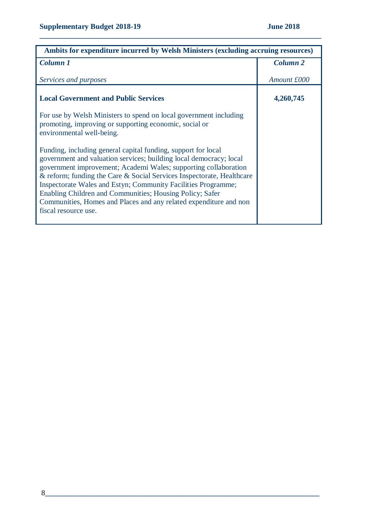| Ambits for expenditure incurred by Welsh Ministers (excluding accruing resources)                                                                                                                                                                                                                                                                                                                                                                                                                         |                     |  |
|-----------------------------------------------------------------------------------------------------------------------------------------------------------------------------------------------------------------------------------------------------------------------------------------------------------------------------------------------------------------------------------------------------------------------------------------------------------------------------------------------------------|---------------------|--|
| Column 1                                                                                                                                                                                                                                                                                                                                                                                                                                                                                                  | Column <sub>2</sub> |  |
| Services and purposes                                                                                                                                                                                                                                                                                                                                                                                                                                                                                     | Amount £000         |  |
| <b>Local Government and Public Services</b>                                                                                                                                                                                                                                                                                                                                                                                                                                                               | 4,260,745           |  |
| For use by Welsh Ministers to spend on local government including<br>promoting, improving or supporting economic, social or<br>environmental well-being.                                                                                                                                                                                                                                                                                                                                                  |                     |  |
| Funding, including general capital funding, support for local<br>government and valuation services; building local democracy; local<br>government improvement; Academi Wales; supporting collaboration<br>& reform; funding the Care & Social Services Inspectorate, Healthcare<br>Inspectorate Wales and Estyn; Community Facilities Programme;<br>Enabling Children and Communities; Housing Policy; Safer<br>Communities, Homes and Places and any related expenditure and non<br>fiscal resource use. |                     |  |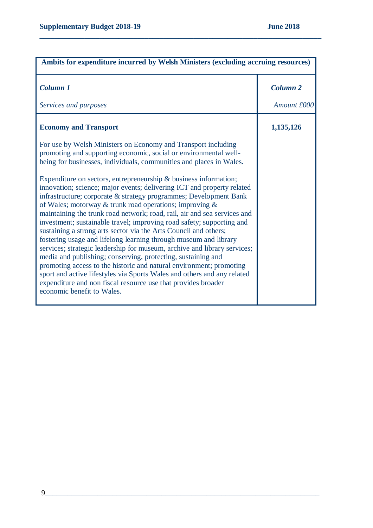| Ambits for expenditure incurred by Welsh Ministers (excluding accruing resources)                                                                                                                                                                                                          |                                |  |
|--------------------------------------------------------------------------------------------------------------------------------------------------------------------------------------------------------------------------------------------------------------------------------------------|--------------------------------|--|
| <b>Column 1</b><br>Services and purposes                                                                                                                                                                                                                                                   | <b>Column 2</b><br>Amount £000 |  |
| <b>Economy and Transport</b><br>For use by Welsh Ministers on Economy and Transport including                                                                                                                                                                                              | 1,135,126                      |  |
| promoting and supporting economic, social or environmental well-<br>being for businesses, individuals, communities and places in Wales.                                                                                                                                                    |                                |  |
| Expenditure on sectors, entrepreneurship $\&$ business information;<br>innovation; science; major events; delivering ICT and property related<br>infrastructure; corporate & strategy programmes; Development Bank<br>of Wales; motorway & trunk road operations; improving $\&$           |                                |  |
| maintaining the trunk road network; road, rail, air and sea services and<br>investment; sustainable travel; improving road safety; supporting and<br>sustaining a strong arts sector via the Arts Council and others;<br>fostering usage and lifelong learning through museum and library  |                                |  |
| services; strategic leadership for museum, archive and library services;<br>media and publishing; conserving, protecting, sustaining and<br>promoting access to the historic and natural environment; promoting<br>sport and active lifestyles via Sports Wales and others and any related |                                |  |
| expenditure and non fiscal resource use that provides broader<br>economic benefit to Wales.                                                                                                                                                                                                |                                |  |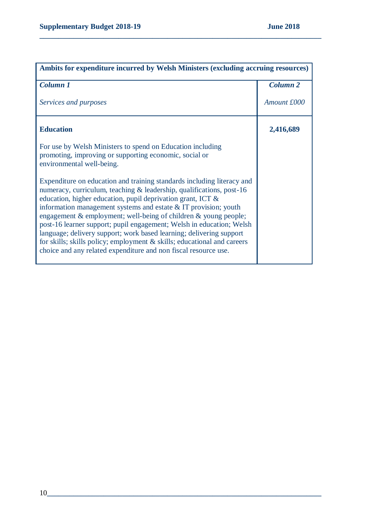| Ambits for expenditure incurred by Welsh Ministers (excluding accruing resources)                                                                                                                                                                                                                                                                                                                                                                                                                                                                                                                                                                       |                 |  |
|---------------------------------------------------------------------------------------------------------------------------------------------------------------------------------------------------------------------------------------------------------------------------------------------------------------------------------------------------------------------------------------------------------------------------------------------------------------------------------------------------------------------------------------------------------------------------------------------------------------------------------------------------------|-----------------|--|
| Column 1                                                                                                                                                                                                                                                                                                                                                                                                                                                                                                                                                                                                                                                | <b>Column 2</b> |  |
| Services and purposes                                                                                                                                                                                                                                                                                                                                                                                                                                                                                                                                                                                                                                   | Amount £000     |  |
| <b>Education</b>                                                                                                                                                                                                                                                                                                                                                                                                                                                                                                                                                                                                                                        | 2,416,689       |  |
| For use by Welsh Ministers to spend on Education including<br>promoting, improving or supporting economic, social or<br>environmental well-being.                                                                                                                                                                                                                                                                                                                                                                                                                                                                                                       |                 |  |
| Expenditure on education and training standards including literacy and<br>numeracy, curriculum, teaching & leadership, qualifications, post-16<br>education, higher education, pupil deprivation grant, ICT &<br>information management systems and estate $&IT$ provision; youth<br>engagement $\&$ employment; well-being of children $\&$ young people;<br>post-16 learner support; pupil engagement; Welsh in education; Welsh<br>language; delivery support; work based learning; delivering support<br>for skills; skills policy; employment & skills; educational and careers<br>choice and any related expenditure and non fiscal resource use. |                 |  |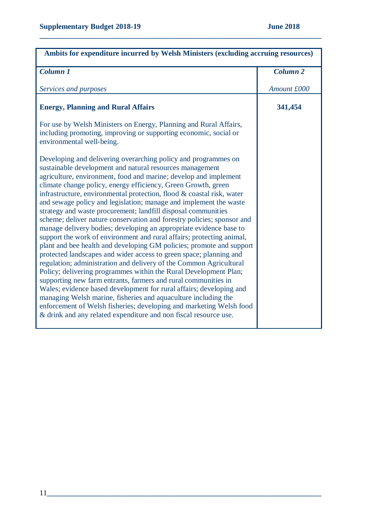| Ambits for expenditure incurred by Welsh Ministers (excluding accruing resources)                                                                                                                                                                                                                                                                                                                                                                                                                                                                                                                                                                                                                                                                                                                                                                                                                                                                                                                                                                                                                                                                                                                                                                                                                                                                     |                 |  |
|-------------------------------------------------------------------------------------------------------------------------------------------------------------------------------------------------------------------------------------------------------------------------------------------------------------------------------------------------------------------------------------------------------------------------------------------------------------------------------------------------------------------------------------------------------------------------------------------------------------------------------------------------------------------------------------------------------------------------------------------------------------------------------------------------------------------------------------------------------------------------------------------------------------------------------------------------------------------------------------------------------------------------------------------------------------------------------------------------------------------------------------------------------------------------------------------------------------------------------------------------------------------------------------------------------------------------------------------------------|-----------------|--|
| Column <sub>1</sub>                                                                                                                                                                                                                                                                                                                                                                                                                                                                                                                                                                                                                                                                                                                                                                                                                                                                                                                                                                                                                                                                                                                                                                                                                                                                                                                                   | <b>Column 2</b> |  |
| Services and purposes                                                                                                                                                                                                                                                                                                                                                                                                                                                                                                                                                                                                                                                                                                                                                                                                                                                                                                                                                                                                                                                                                                                                                                                                                                                                                                                                 | Amount £000     |  |
| <b>Energy, Planning and Rural Affairs</b>                                                                                                                                                                                                                                                                                                                                                                                                                                                                                                                                                                                                                                                                                                                                                                                                                                                                                                                                                                                                                                                                                                                                                                                                                                                                                                             | 341,454         |  |
| For use by Welsh Ministers on Energy, Planning and Rural Affairs,<br>including promoting, improving or supporting economic, social or<br>environmental well-being.                                                                                                                                                                                                                                                                                                                                                                                                                                                                                                                                                                                                                                                                                                                                                                                                                                                                                                                                                                                                                                                                                                                                                                                    |                 |  |
| Developing and delivering overarching policy and programmes on<br>sustainable development and natural resources management<br>agriculture, environment, food and marine; develop and implement<br>climate change policy, energy efficiency, Green Growth, green<br>infrastructure, environmental protection, flood & coastal risk, water<br>and sewage policy and legislation; manage and implement the waste<br>strategy and waste procurement; landfill disposal communities<br>scheme; deliver nature conservation and forestry policies; sponsor and<br>manage delivery bodies; developing an appropriate evidence base to<br>support the work of environment and rural affairs; protecting animal,<br>plant and bee health and developing GM policies; promote and support<br>protected landscapes and wider access to green space; planning and<br>regulation; administration and delivery of the Common Agricultural<br>Policy; delivering programmes within the Rural Development Plan;<br>supporting new farm entrants, farmers and rural communities in<br>Wales; evidence based development for rural affairs; developing and<br>managing Welsh marine, fisheries and aquaculture including the<br>enforcement of Welsh fisheries; developing and marketing Welsh food<br>& drink and any related expenditure and non fiscal resource use. |                 |  |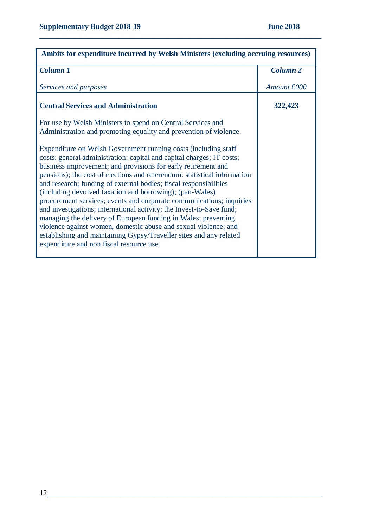| Ambits for expenditure incurred by Welsh Ministers (excluding accruing resources)                                                                                                                                                                                                                                                                                                                                                                                                                                                                                                                                                                                                                                                                                                                                             |                 |  |
|-------------------------------------------------------------------------------------------------------------------------------------------------------------------------------------------------------------------------------------------------------------------------------------------------------------------------------------------------------------------------------------------------------------------------------------------------------------------------------------------------------------------------------------------------------------------------------------------------------------------------------------------------------------------------------------------------------------------------------------------------------------------------------------------------------------------------------|-----------------|--|
| <b>Column 1</b>                                                                                                                                                                                                                                                                                                                                                                                                                                                                                                                                                                                                                                                                                                                                                                                                               | <b>Column 2</b> |  |
| Services and purposes                                                                                                                                                                                                                                                                                                                                                                                                                                                                                                                                                                                                                                                                                                                                                                                                         | Amount £000     |  |
| <b>Central Services and Administration</b>                                                                                                                                                                                                                                                                                                                                                                                                                                                                                                                                                                                                                                                                                                                                                                                    | 322,423         |  |
| For use by Welsh Ministers to spend on Central Services and<br>Administration and promoting equality and prevention of violence.                                                                                                                                                                                                                                                                                                                                                                                                                                                                                                                                                                                                                                                                                              |                 |  |
| Expenditure on Welsh Government running costs (including staff)<br>costs; general administration; capital and capital charges; IT costs;<br>business improvement; and provisions for early retirement and<br>pensions); the cost of elections and referendum: statistical information<br>and research; funding of external bodies; fiscal responsibilities<br>(including devolved taxation and borrowing); (pan-Wales)<br>procurement services; events and corporate communications; inquiries<br>and investigations; international activity; the Invest-to-Save fund;<br>managing the delivery of European funding in Wales; preventing<br>violence against women, domestic abuse and sexual violence; and<br>establishing and maintaining Gypsy/Traveller sites and any related<br>expenditure and non fiscal resource use. |                 |  |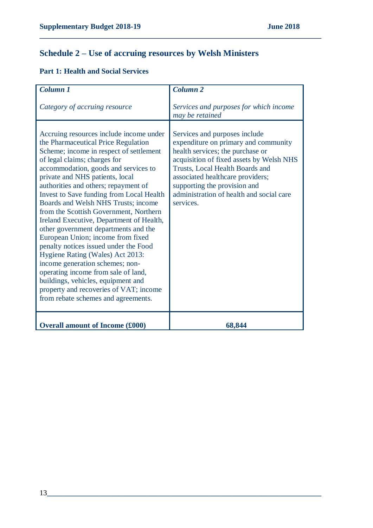# **Schedule 2 – Use of accruing resources by Welsh Ministers**

|  |  |  | <b>Part 1: Health and Social Services</b> |
|--|--|--|-------------------------------------------|
|--|--|--|-------------------------------------------|

| Column <sub>1</sub>                                                                                                                                                                                                                                                                                                                                                                                                                                                                                                                                                                                                                                                                                                                                                                                                     | Column <sub>2</sub>                                                                                                                                                                                                                                                                                                   |
|-------------------------------------------------------------------------------------------------------------------------------------------------------------------------------------------------------------------------------------------------------------------------------------------------------------------------------------------------------------------------------------------------------------------------------------------------------------------------------------------------------------------------------------------------------------------------------------------------------------------------------------------------------------------------------------------------------------------------------------------------------------------------------------------------------------------------|-----------------------------------------------------------------------------------------------------------------------------------------------------------------------------------------------------------------------------------------------------------------------------------------------------------------------|
| Category of accruing resource                                                                                                                                                                                                                                                                                                                                                                                                                                                                                                                                                                                                                                                                                                                                                                                           | Services and purposes for which income<br>may be retained                                                                                                                                                                                                                                                             |
| Accruing resources include income under<br>the Pharmaceutical Price Regulation<br>Scheme; income in respect of settlement<br>of legal claims; charges for<br>accommodation, goods and services to<br>private and NHS patients, local<br>authorities and others; repayment of<br><b>Invest to Save funding from Local Health</b><br>Boards and Welsh NHS Trusts; income<br>from the Scottish Government, Northern<br>Ireland Executive, Department of Health,<br>other government departments and the<br>European Union; income from fixed<br>penalty notices issued under the Food<br>Hygiene Rating (Wales) Act 2013:<br>income generation schemes; non-<br>operating income from sale of land,<br>buildings, vehicles, equipment and<br>property and recoveries of VAT; income<br>from rebate schemes and agreements. | Services and purposes include<br>expenditure on primary and community<br>health services; the purchase or<br>acquisition of fixed assets by Welsh NHS<br>Trusts, Local Health Boards and<br>associated healthcare providers;<br>supporting the provision and<br>administration of health and social care<br>services. |
| <b>Overall amount of Income (£000)</b>                                                                                                                                                                                                                                                                                                                                                                                                                                                                                                                                                                                                                                                                                                                                                                                  | 68,844                                                                                                                                                                                                                                                                                                                |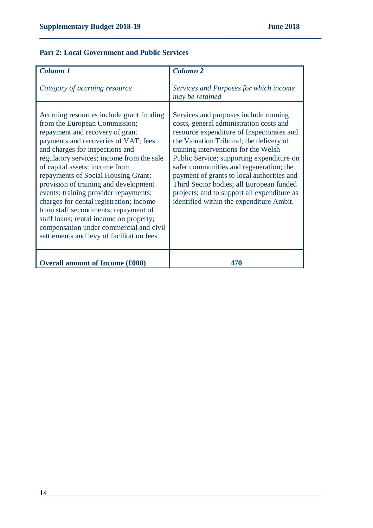## **Part 2: Local Government and Public Services**

| Column <sub>1</sub>                                                                                                                                                                                                                                                                                                                                                                                                                                                                                                                                                                                                    | <b>Column 2</b>                                                                                                                                                                                                                                                                                                                                                                                                                                                                               |
|------------------------------------------------------------------------------------------------------------------------------------------------------------------------------------------------------------------------------------------------------------------------------------------------------------------------------------------------------------------------------------------------------------------------------------------------------------------------------------------------------------------------------------------------------------------------------------------------------------------------|-----------------------------------------------------------------------------------------------------------------------------------------------------------------------------------------------------------------------------------------------------------------------------------------------------------------------------------------------------------------------------------------------------------------------------------------------------------------------------------------------|
| Category of accruing resource                                                                                                                                                                                                                                                                                                                                                                                                                                                                                                                                                                                          | Services and Purposes for which income<br>may be retained                                                                                                                                                                                                                                                                                                                                                                                                                                     |
| Accruing resources include grant funding<br>from the European Commission;<br>repayment and recovery of grant<br>payments and recoveries of VAT; fees<br>and charges for inspections and<br>regulatory services; income from the sale<br>of capital assets; income from<br>repayments of Social Housing Grant;<br>provision of training and development<br>events; training provider repayments;<br>charges for dental registration; income<br>from staff secondments; repayment of<br>staff loans; rental income on property;<br>compensation under commercial and civil<br>settlements and levy of facilitation fees. | Services and purposes include running<br>costs, general administration costs and<br>resource expenditure of Inspectorates and<br>the Valuation Tribunal; the delivery of<br>training interventions for the Welsh<br>Public Service; supporting expenditure on<br>safer communities and regeneration; the<br>payment of grants to local authorities and<br>Third Sector bodies; all European funded<br>projects; and to support all expenditure as<br>identified within the expenditure Ambit. |
| <b>Overall amount of Income (£000)</b>                                                                                                                                                                                                                                                                                                                                                                                                                                                                                                                                                                                 | 470                                                                                                                                                                                                                                                                                                                                                                                                                                                                                           |
|                                                                                                                                                                                                                                                                                                                                                                                                                                                                                                                                                                                                                        |                                                                                                                                                                                                                                                                                                                                                                                                                                                                                               |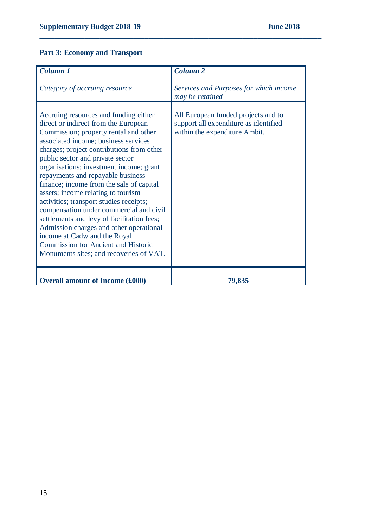# **Part 3: Economy and Transport**

| <b>Column 1</b>                                                                                                                                                                                                                                                                                                                                                                                                                                                                                                                                                                                                                                                                                                           | Column <sub>2</sub>                                                                                           |
|---------------------------------------------------------------------------------------------------------------------------------------------------------------------------------------------------------------------------------------------------------------------------------------------------------------------------------------------------------------------------------------------------------------------------------------------------------------------------------------------------------------------------------------------------------------------------------------------------------------------------------------------------------------------------------------------------------------------------|---------------------------------------------------------------------------------------------------------------|
| Category of accruing resource                                                                                                                                                                                                                                                                                                                                                                                                                                                                                                                                                                                                                                                                                             | Services and Purposes for which income<br>may be retained                                                     |
| Accruing resources and funding either<br>direct or indirect from the European<br>Commission; property rental and other<br>associated income; business services<br>charges; project contributions from other<br>public sector and private sector<br>organisations; investment income; grant<br>repayments and repayable business<br>finance; income from the sale of capital<br>assets; income relating to tourism<br>activities; transport studies receipts;<br>compensation under commercial and civil<br>settlements and levy of facilitation fees;<br>Admission charges and other operational<br>income at Cadw and the Royal<br><b>Commission for Ancient and Historic</b><br>Monuments sites; and recoveries of VAT. | All European funded projects and to<br>support all expenditure as identified<br>within the expenditure Ambit. |
| <b>Overall amount of Income (£000)</b>                                                                                                                                                                                                                                                                                                                                                                                                                                                                                                                                                                                                                                                                                    | 79,835                                                                                                        |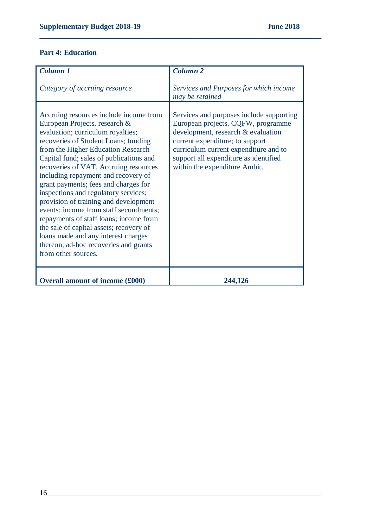#### **Part 4: Education**

| <b>Column 1</b>                                                                                                                                                                                                                                                                                                                                                                                                                                                                                                                                                                                                                                                                      | <b>Column 2</b>                                                                                                                                                                                                                                                            |
|--------------------------------------------------------------------------------------------------------------------------------------------------------------------------------------------------------------------------------------------------------------------------------------------------------------------------------------------------------------------------------------------------------------------------------------------------------------------------------------------------------------------------------------------------------------------------------------------------------------------------------------------------------------------------------------|----------------------------------------------------------------------------------------------------------------------------------------------------------------------------------------------------------------------------------------------------------------------------|
|                                                                                                                                                                                                                                                                                                                                                                                                                                                                                                                                                                                                                                                                                      |                                                                                                                                                                                                                                                                            |
| Category of accruing resource                                                                                                                                                                                                                                                                                                                                                                                                                                                                                                                                                                                                                                                        | Services and Purposes for which income<br>may be retained                                                                                                                                                                                                                  |
| Accruing resources include income from<br>European Projects, research &<br>evaluation; curriculum royalties;<br>recoveries of Student Loans; funding<br>from the Higher Education Research<br>Capital fund; sales of publications and<br>recoveries of VAT. Accruing resources<br>including repayment and recovery of<br>grant payments; fees and charges for<br>inspections and regulatory services;<br>provision of training and development<br>events; income from staff secondments;<br>repayments of staff loans; income from<br>the sale of capital assets; recovery of<br>loans made and any interest charges<br>thereon; ad-hoc recoveries and grants<br>from other sources. | Services and purposes include supporting<br>European projects, CQFW, programme<br>development, research & evaluation<br>current expenditure; to support<br>curriculum current expenditure and to<br>support all expenditure as identified<br>within the expenditure Ambit. |
| <b>Overall amount of income (£000)</b>                                                                                                                                                                                                                                                                                                                                                                                                                                                                                                                                                                                                                                               | 244,126                                                                                                                                                                                                                                                                    |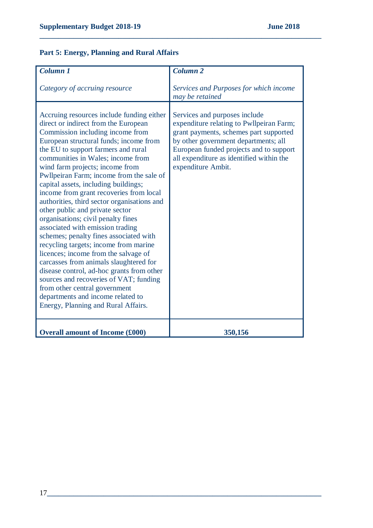# **Part 5: Energy, Planning and Rural Affairs**

| Column <sub>1</sub>                                                                                                                                                                                                                                                                                                                                                                                                                                                                                                                                                                                                                                                                                                                            | <b>Column 2</b>                                                                                                                                                                                                                                                          |
|------------------------------------------------------------------------------------------------------------------------------------------------------------------------------------------------------------------------------------------------------------------------------------------------------------------------------------------------------------------------------------------------------------------------------------------------------------------------------------------------------------------------------------------------------------------------------------------------------------------------------------------------------------------------------------------------------------------------------------------------|--------------------------------------------------------------------------------------------------------------------------------------------------------------------------------------------------------------------------------------------------------------------------|
|                                                                                                                                                                                                                                                                                                                                                                                                                                                                                                                                                                                                                                                                                                                                                |                                                                                                                                                                                                                                                                          |
| Category of accruing resource                                                                                                                                                                                                                                                                                                                                                                                                                                                                                                                                                                                                                                                                                                                  | Services and Purposes for which income                                                                                                                                                                                                                                   |
|                                                                                                                                                                                                                                                                                                                                                                                                                                                                                                                                                                                                                                                                                                                                                | may be retained                                                                                                                                                                                                                                                          |
|                                                                                                                                                                                                                                                                                                                                                                                                                                                                                                                                                                                                                                                                                                                                                |                                                                                                                                                                                                                                                                          |
| Accruing resources include funding either<br>direct or indirect from the European<br>Commission including income from<br>European structural funds; income from<br>the EU to support farmers and rural<br>communities in Wales; income from<br>wind farm projects; income from<br>Pwllpeiran Farm; income from the sale of<br>capital assets, including buildings;<br>income from grant recoveries from local<br>authorities, third sector organisations and<br>other public and private sector<br>organisations; civil penalty fines<br>associated with emission trading<br>schemes; penalty fines associated with<br>recycling targets; income from marine<br>licences; income from the salvage of<br>carcasses from animals slaughtered for | Services and purposes include<br>expenditure relating to Pwllpeiran Farm;<br>grant payments, schemes part supported<br>by other government departments; all<br>European funded projects and to support<br>all expenditure as identified within the<br>expenditure Ambit. |
| disease control, ad-hoc grants from other<br>sources and recoveries of VAT; funding<br>from other central government<br>departments and income related to<br>Energy, Planning and Rural Affairs.                                                                                                                                                                                                                                                                                                                                                                                                                                                                                                                                               |                                                                                                                                                                                                                                                                          |
| <b>Overall amount of Income (£000)</b>                                                                                                                                                                                                                                                                                                                                                                                                                                                                                                                                                                                                                                                                                                         | 350,156                                                                                                                                                                                                                                                                  |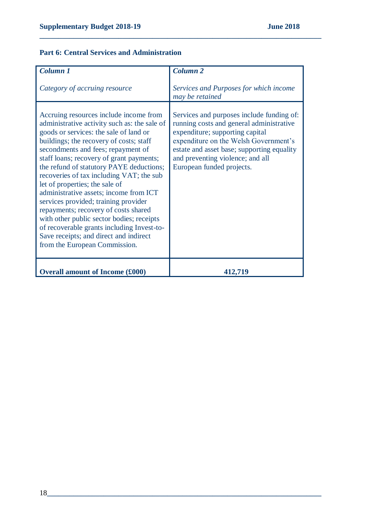## **Part 6: Central Services and Administration**

| Column <sub>1</sub>                                                                                                                                                                                                                                                                                                                                                                                                                                                                                                                                                                                                                                                                      | Column <sub>2</sub>                                                                                                                                                                                                                                                              |
|------------------------------------------------------------------------------------------------------------------------------------------------------------------------------------------------------------------------------------------------------------------------------------------------------------------------------------------------------------------------------------------------------------------------------------------------------------------------------------------------------------------------------------------------------------------------------------------------------------------------------------------------------------------------------------------|----------------------------------------------------------------------------------------------------------------------------------------------------------------------------------------------------------------------------------------------------------------------------------|
| Category of accruing resource                                                                                                                                                                                                                                                                                                                                                                                                                                                                                                                                                                                                                                                            | Services and Purposes for which income<br>may be retained                                                                                                                                                                                                                        |
| Accruing resources include income from<br>administrative activity such as: the sale of<br>goods or services: the sale of land or<br>buildings; the recovery of costs; staff<br>secondments and fees; repayment of<br>staff loans; recovery of grant payments;<br>the refund of statutory PAYE deductions;<br>recoveries of tax including VAT; the sub-<br>let of properties; the sale of<br>administrative assets; income from ICT<br>services provided; training provider<br>repayments; recovery of costs shared<br>with other public sector bodies; receipts<br>of recoverable grants including Invest-to-<br>Save receipts; and direct and indirect<br>from the European Commission. | Services and purposes include funding of:<br>running costs and general administrative<br>expenditure; supporting capital<br>expenditure on the Welsh Government's<br>estate and asset base; supporting equality<br>and preventing violence; and all<br>European funded projects. |
| <b>Overall amount of Income (£000)</b>                                                                                                                                                                                                                                                                                                                                                                                                                                                                                                                                                                                                                                                   | 412,719                                                                                                                                                                                                                                                                          |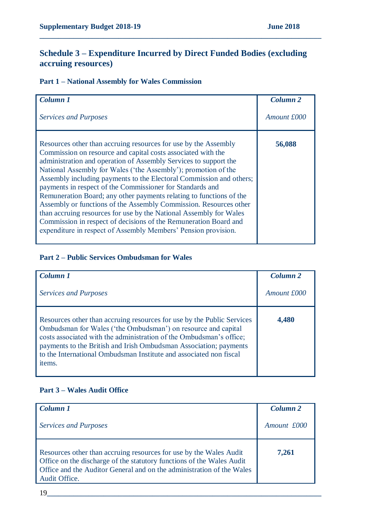# **Schedule 3 – Expenditure Incurred by Direct Funded Bodies (excluding accruing resources)**

**\_\_\_\_\_\_\_\_\_\_\_\_\_\_\_\_\_\_\_\_\_\_\_\_\_\_\_\_\_\_\_\_\_\_\_\_\_\_\_\_\_\_\_\_\_\_\_\_\_\_\_\_\_\_\_\_\_\_\_\_\_\_\_\_\_\_\_\_\_\_\_\_\_\_\_**

## **Part 1 – National Assembly for Wales Commission**

| Column <sub>1</sub>                                                                                                                                                                                                                                                                                                                                                                                                                                                                                                                                                                                                                                                                                                                                               | Column <sub>2</sub> |
|-------------------------------------------------------------------------------------------------------------------------------------------------------------------------------------------------------------------------------------------------------------------------------------------------------------------------------------------------------------------------------------------------------------------------------------------------------------------------------------------------------------------------------------------------------------------------------------------------------------------------------------------------------------------------------------------------------------------------------------------------------------------|---------------------|
| <b>Services and Purposes</b>                                                                                                                                                                                                                                                                                                                                                                                                                                                                                                                                                                                                                                                                                                                                      | Amount £000         |
| Resources other than accruing resources for use by the Assembly<br>Commission on resource and capital costs associated with the<br>administration and operation of Assembly Services to support the<br>National Assembly for Wales ('the Assembly'); promotion of the<br>Assembly including payments to the Electoral Commission and others;<br>payments in respect of the Commissioner for Standards and<br>Remuneration Board; any other payments relating to functions of the<br>Assembly or functions of the Assembly Commission. Resources other<br>than accruing resources for use by the National Assembly for Wales<br>Commission in respect of decisions of the Remuneration Board and<br>expenditure in respect of Assembly Members' Pension provision. | 56,088              |

#### **Part 2 – Public Services Ombudsman for Wales**

| Column 1                                                                                                                                                                                                                                                                                                                                                            | Column <sub>2</sub> |
|---------------------------------------------------------------------------------------------------------------------------------------------------------------------------------------------------------------------------------------------------------------------------------------------------------------------------------------------------------------------|---------------------|
| <b>Services and Purposes</b>                                                                                                                                                                                                                                                                                                                                        | Amount £000         |
| Resources other than accruing resources for use by the Public Services<br>Ombudsman for Wales ('the Ombudsman') on resource and capital<br>costs associated with the administration of the Ombudsman's office;<br>payments to the British and Irish Ombudsman Association; payments<br>to the International Ombudsman Institute and associated non fiscal<br>items. | 4,480               |

#### **Part 3 – Wales Audit Office**

| Column 1                                                                                                                                                                                                                              | Column <sub>2</sub> |
|---------------------------------------------------------------------------------------------------------------------------------------------------------------------------------------------------------------------------------------|---------------------|
| <b>Services and Purposes</b>                                                                                                                                                                                                          | Amount £000         |
| Resources other than accruing resources for use by the Wales Audit<br>Office on the discharge of the statutory functions of the Wales Audit<br>Office and the Auditor General and on the administration of the Wales<br>Audit Office. | 7,261               |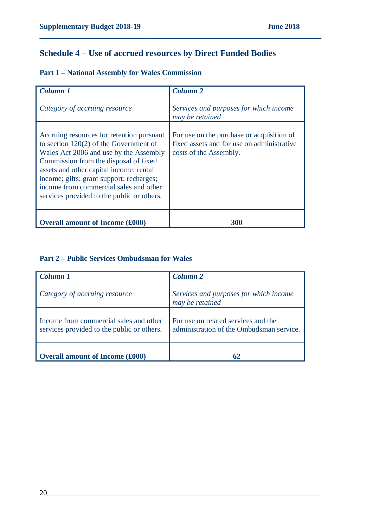# **Schedule 4 – Use of accrued resources by Direct Funded Bodies**

**\_\_\_\_\_\_\_\_\_\_\_\_\_\_\_\_\_\_\_\_\_\_\_\_\_\_\_\_\_\_\_\_\_\_\_\_\_\_\_\_\_\_\_\_\_\_\_\_\_\_\_\_\_\_\_\_\_\_\_\_\_\_\_\_\_\_\_\_\_\_\_\_\_\_\_**

|  |  |  |  |  |  | <b>Part 1 - National Assembly for Wales Commission</b> |
|--|--|--|--|--|--|--------------------------------------------------------|
|--|--|--|--|--|--|--------------------------------------------------------|

| Column <sub>1</sub>                                                                                                                                                                                                                                                                                                                                     | Column <sub>2</sub>                                                                                               |
|---------------------------------------------------------------------------------------------------------------------------------------------------------------------------------------------------------------------------------------------------------------------------------------------------------------------------------------------------------|-------------------------------------------------------------------------------------------------------------------|
| Category of accruing resource                                                                                                                                                                                                                                                                                                                           | Services and purposes for which income<br>may be retained                                                         |
| Accruing resources for retention pursuant<br>to section $120(2)$ of the Government of<br>Wales Act 2006 and use by the Assembly<br>Commission from the disposal of fixed<br>assets and other capital income; rental<br>income; gifts; grant support; recharges;<br>income from commercial sales and other<br>services provided to the public or others. | For use on the purchase or acquisition of<br>fixed assets and for use on administrative<br>costs of the Assembly. |
| <b>Overall amount of Income (£000)</b>                                                                                                                                                                                                                                                                                                                  | 300                                                                                                               |

## **Part 2 – Public Services Ombudsman for Wales**

| Column 1                                                                             | Column <sub>2</sub>                                                             |
|--------------------------------------------------------------------------------------|---------------------------------------------------------------------------------|
| Category of accruing resource                                                        | Services and purposes for which income<br>may be retained                       |
| Income from commercial sales and other<br>services provided to the public or others. | For use on related services and the<br>administration of the Ombudsman service. |
| <b>Overall amount of Income (£000)</b>                                               | 62                                                                              |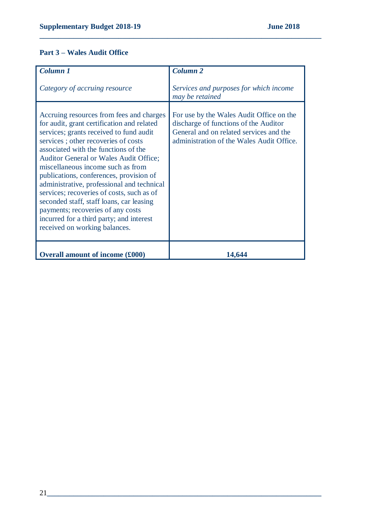## **Part 3 – Wales Audit Office**

| <b>Column 1</b>                                                                                                                                                                                                                                                                                                                                                                                                                                                                                                                                                                                            | <b>Column 2</b>                                                                                                                                                           |
|------------------------------------------------------------------------------------------------------------------------------------------------------------------------------------------------------------------------------------------------------------------------------------------------------------------------------------------------------------------------------------------------------------------------------------------------------------------------------------------------------------------------------------------------------------------------------------------------------------|---------------------------------------------------------------------------------------------------------------------------------------------------------------------------|
| Category of accruing resource                                                                                                                                                                                                                                                                                                                                                                                                                                                                                                                                                                              | Services and purposes for which income<br>may be retained                                                                                                                 |
| Accruing resources from fees and charges<br>for audit, grant certification and related<br>services; grants received to fund audit<br>services; other recoveries of costs<br>associated with the functions of the<br><b>Auditor General or Wales Audit Office;</b><br>miscellaneous income such as from<br>publications, conferences, provision of<br>administrative, professional and technical<br>services; recoveries of costs, such as of<br>seconded staff, staff loans, car leasing<br>payments; recoveries of any costs<br>incurred for a third party; and interest<br>received on working balances. | For use by the Wales Audit Office on the<br>discharge of functions of the Auditor<br>General and on related services and the<br>administration of the Wales Audit Office. |
| <b>Overall amount of income (£000)</b>                                                                                                                                                                                                                                                                                                                                                                                                                                                                                                                                                                     | 14,644                                                                                                                                                                    |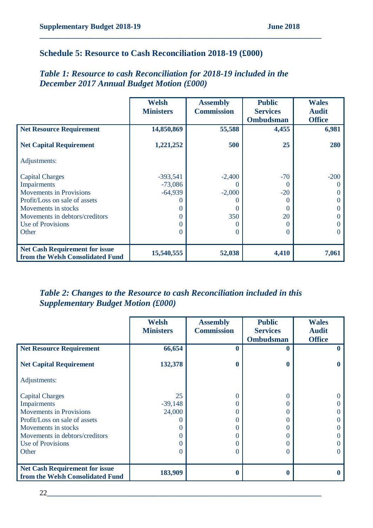## **Schedule 5: Resource to Cash Reconciliation 2018-19 (£000)**

# *Table 1: Resource to cash Reconciliation for 2018-19 included in the December 2017 Annual Budget Motion (£000)*

**\_\_\_\_\_\_\_\_\_\_\_\_\_\_\_\_\_\_\_\_\_\_\_\_\_\_\_\_\_\_\_\_\_\_\_\_\_\_\_\_\_\_\_\_\_\_\_\_\_\_\_\_\_\_\_\_\_\_\_\_\_\_\_\_\_\_\_\_\_\_\_\_\_\_\_**

|                                                                           | <b>Welsh</b>     | <b>Assembly</b>   | <b>Public</b>    | <b>Wales</b>  |
|---------------------------------------------------------------------------|------------------|-------------------|------------------|---------------|
|                                                                           | <b>Ministers</b> | <b>Commission</b> | <b>Services</b>  | <b>Audit</b>  |
|                                                                           |                  |                   | <b>Ombudsman</b> | <b>Office</b> |
| <b>Net Resource Requirement</b>                                           | 14,850,869       | 55,588            | 4,455            | 6,981         |
| <b>Net Capital Requirement</b>                                            | 1,221,252        | 500               | 25               | 280           |
| Adjustments:                                                              |                  |                   |                  |               |
| <b>Capital Charges</b>                                                    | $-393,541$       | $-2,400$          | $-70$            | $-200$        |
| Impairments                                                               | $-73,086$        |                   | $\theta$         |               |
| <b>Movements in Provisions</b>                                            | $-64,939$        | $-2,000$          | $-20$            |               |
| Profit/Loss on sale of assets                                             |                  |                   |                  |               |
| Movements in stocks                                                       |                  | $\left( \right)$  | $\theta$         |               |
| Movements in debtors/creditors                                            |                  | 350               | 20               |               |
| <b>Use of Provisions</b>                                                  |                  |                   | 0                |               |
| Other                                                                     |                  | $\theta$          | $_{0}$           | $\theta$      |
|                                                                           |                  |                   |                  |               |
| <b>Net Cash Requirement for issue</b><br>from the Welsh Consolidated Fund | 15,540,555       | 52,038            | 4,410            | 7,061         |

# *Table 2: Changes to the Resource to cash Reconciliation included in this Supplementary Budget Motion (£000)*

|                                                                           | <b>Welsh</b><br><b>Ministers</b> | <b>Assembly</b><br><b>Commission</b> | <b>Public</b><br><b>Services</b><br><b>Ombudsman</b> | <b>Wales</b><br><b>Audit</b><br><b>Office</b> |
|---------------------------------------------------------------------------|----------------------------------|--------------------------------------|------------------------------------------------------|-----------------------------------------------|
| <b>Net Resource Requirement</b>                                           | 66,654                           | 0                                    | 0                                                    |                                               |
|                                                                           |                                  |                                      |                                                      |                                               |
| <b>Net Capital Requirement</b>                                            | 132,378                          | 0                                    | 0                                                    |                                               |
| Adjustments:                                                              |                                  |                                      |                                                      |                                               |
| <b>Capital Charges</b>                                                    | 25                               | 0                                    |                                                      |                                               |
| <b>Impairments</b>                                                        | $-39,148$                        | 0                                    |                                                      |                                               |
| <b>Movements in Provisions</b>                                            | 24,000                           | 0                                    |                                                      |                                               |
| Profit/Loss on sale of assets                                             |                                  | 0                                    |                                                      |                                               |
| Movements in stocks                                                       |                                  | 0                                    |                                                      |                                               |
| Movements in debtors/creditors                                            |                                  | 0                                    |                                                      |                                               |
| <b>Use of Provisions</b>                                                  |                                  | 0                                    |                                                      |                                               |
| Other                                                                     |                                  | 0                                    | $\left($                                             |                                               |
|                                                                           |                                  |                                      |                                                      |                                               |
| <b>Net Cash Requirement for issue</b><br>from the Welsh Consolidated Fund | 183,909                          |                                      | $\bf{0}$                                             |                                               |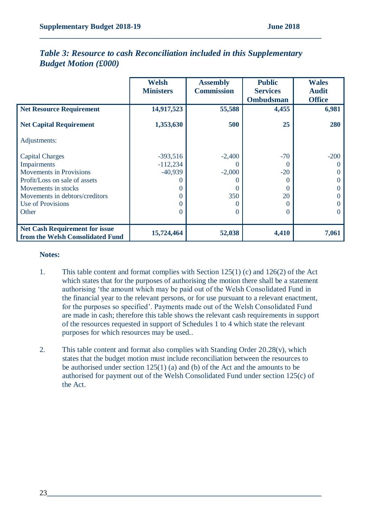|                                                                           | <b>Welsh</b>     | <b>Assembly</b>   | <b>Public</b>    | <b>Wales</b>  |
|---------------------------------------------------------------------------|------------------|-------------------|------------------|---------------|
|                                                                           | <b>Ministers</b> | <b>Commission</b> | <b>Services</b>  | <b>Audit</b>  |
|                                                                           |                  |                   | <b>Ombudsman</b> | <b>Office</b> |
| <b>Net Resource Requirement</b>                                           | 14,917,523       | 55,588            | 4,455            | 6,981         |
|                                                                           |                  |                   |                  |               |
| <b>Net Capital Requirement</b>                                            | 1,353,630        | 500               | 25               | 280           |
| Adjustments:                                                              |                  |                   |                  |               |
| <b>Capital Charges</b>                                                    | $-393,516$       | $-2,400$          | $-70$            | $-200$        |
| Impairments                                                               | $-112,234$       | $\theta$          | $\theta$         |               |
| <b>Movements in Provisions</b>                                            | $-40,939$        | $-2,000$          | $-20$            |               |
| Profit/Loss on sale of assets                                             |                  |                   |                  |               |
| Movements in stocks                                                       |                  | $\Omega$          | $\theta$         |               |
| Movements in debtors/creditors                                            |                  | 350               | 20               |               |
| <b>Use of Provisions</b>                                                  |                  |                   |                  |               |
| Other                                                                     |                  | $\Omega$          | $\theta$         |               |
|                                                                           |                  |                   |                  |               |
| <b>Net Cash Requirement for issue</b><br>from the Welsh Consolidated Fund | 15,724,464       | 52,038            | 4,410            | 7,061         |

## *Table 3: Resource to cash Reconciliation included in this Supplementary Budget Motion (£000)*

**\_\_\_\_\_\_\_\_\_\_\_\_\_\_\_\_\_\_\_\_\_\_\_\_\_\_\_\_\_\_\_\_\_\_\_\_\_\_\_\_\_\_\_\_\_\_\_\_\_\_\_\_\_\_\_\_\_\_\_\_\_\_\_\_\_\_\_\_\_\_\_\_\_\_\_**

#### **Notes:**

- 1. This table content and format complies with Section 125(1) (c) and 126(2) of the Act which states that for the purposes of authorising the motion there shall be a statement authorising 'the amount which may be paid out of the Welsh Consolidated Fund in the financial year to the relevant persons, or for use pursuant to a relevant enactment, for the purposes so specified'. Payments made out of the Welsh Consolidated Fund are made in cash; therefore this table shows the relevant cash requirements in support of the resources requested in support of Schedules 1 to 4 which state the relevant purposes for which resources may be used..
- 2. This table content and format also complies with Standing Order 20.28(v), which states that the budget motion must include reconciliation between the resources to be authorised under section 125(1) (a) and (b) of the Act and the amounts to be authorised for payment out of the Welsh Consolidated Fund under section 125(c) of the Act.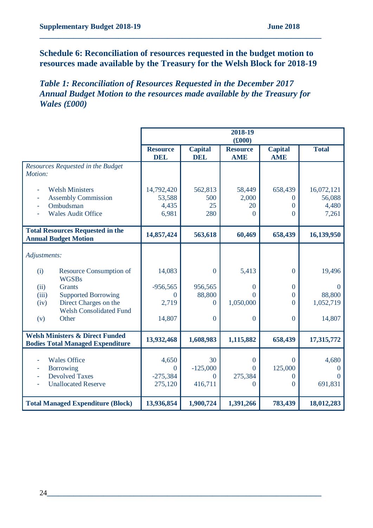# **Schedule 6: Reconciliation of resources requested in the budget motion to resources made available by the Treasury for the Welsh Block for 2018-19**

**\_\_\_\_\_\_\_\_\_\_\_\_\_\_\_\_\_\_\_\_\_\_\_\_\_\_\_\_\_\_\_\_\_\_\_\_\_\_\_\_\_\_\_\_\_\_\_\_\_\_\_\_\_\_\_\_\_\_\_\_\_\_\_\_\_\_\_\_\_\_\_\_\_\_\_**

# *Table 1: Reconciliation of Resources Requested in the December 2017 Annual Budget Motion to the resources made available by the Treasury for Wales (£000)*

|                                                                                       | 2018-19<br>(f000)             |                              |                               |                              |                      |
|---------------------------------------------------------------------------------------|-------------------------------|------------------------------|-------------------------------|------------------------------|----------------------|
|                                                                                       | <b>Resource</b><br><b>DEL</b> | <b>Capital</b><br><b>DEL</b> | <b>Resource</b><br><b>AME</b> | <b>Capital</b><br><b>AME</b> | <b>Total</b>         |
| Resources Requested in the Budget<br>Motion:                                          |                               |                              |                               |                              |                      |
| <b>Welsh Ministers</b>                                                                | 14,792,420                    | 562,813                      | 58,449                        | 658,439                      | 16,072,121           |
| <b>Assembly Commission</b>                                                            | 53,588                        | 500                          | 2,000                         | 0                            | 56,088               |
| Ombudsman                                                                             | 4,435                         | 25                           | 20                            | $\overline{0}$               | 4,480                |
| <b>Wales Audit Office</b>                                                             | 6,981                         | 280                          | $\Omega$                      | 0                            | 7,261                |
| <b>Total Resources Requested in the</b><br><b>Annual Budget Motion</b>                | 14,857,424                    | 563,618                      | 60,469                        | 658,439                      | 16,139,950           |
| Adjustments:                                                                          |                               |                              |                               |                              |                      |
| (i)<br><b>Resource Consumption of</b><br><b>WGSBs</b>                                 | 14,083                        | $\overline{0}$               | 5,413                         | $\overline{0}$               | 19,496               |
| <b>Grants</b><br>(ii)                                                                 | $-956,565$                    | 956,565                      | $\Omega$                      | $\mathbf{0}$                 | $\Omega$             |
| <b>Supported Borrowing</b><br>(iii)                                                   | $\Omega$                      | 88,800                       | $\Omega$                      | $\overline{0}$               | 88,800               |
| Direct Charges on the<br>(iv)                                                         | 2,719                         | $\Omega$                     | 1,050,000                     | $\Omega$                     | 1,052,719            |
| <b>Welsh Consolidated Fund</b><br>Other<br>(v)                                        | 14,807                        | $\mathbf{0}$                 | $\Omega$                      | $\overline{0}$               | 14,807               |
| <b>Welsh Ministers &amp; Direct Funded</b><br><b>Bodies Total Managed Expenditure</b> | 13,932,468                    | 1,608,983                    | 1,115,882                     | 658,439                      | 17,315,772           |
|                                                                                       |                               |                              |                               |                              |                      |
| <b>Wales Office</b>                                                                   | 4,650                         | 30                           | $\mathbf{0}$                  | 0                            | 4,680                |
| <b>Borrowing</b><br><b>Devolved Taxes</b>                                             | $\Omega$<br>$-275,384$        | $-125,000$<br>$\overline{0}$ | $\Omega$<br>275,384           | 125,000<br>0                 | $\theta$<br>$\Omega$ |
| <b>Unallocated Reserve</b>                                                            | 275,120                       | 416,711                      | $\Omega$                      | $\theta$                     | 691,831              |
|                                                                                       |                               |                              |                               |                              |                      |
| <b>Total Managed Expenditure (Block)</b>                                              | 13,936,854                    | 1,900,724                    | 1,391,266                     | 783,439                      | 18,012,283           |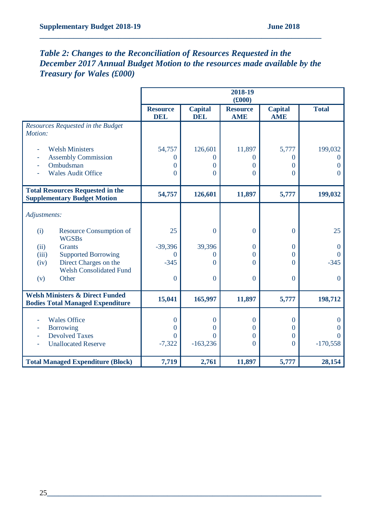# *Table 2: Changes to the Reconciliation of Resources Requested in the December 2017 Annual Budget Motion to the resources made available by the Treasury for Wales (£000)*

|                                                                                       |                               |                              | 2018-19<br>(f000)             |                              |                      |
|---------------------------------------------------------------------------------------|-------------------------------|------------------------------|-------------------------------|------------------------------|----------------------|
|                                                                                       | <b>Resource</b><br><b>DEL</b> | <b>Capital</b><br><b>DEL</b> | <b>Resource</b><br><b>AME</b> | <b>Capital</b><br><b>AME</b> | <b>Total</b>         |
| Resources Requested in the Budget<br>Motion:                                          |                               |                              |                               |                              |                      |
| <b>Welsh Ministers</b>                                                                | 54,757                        | 126,601                      | 11,897                        | 5,777                        | 199,032              |
| <b>Assembly Commission</b>                                                            | 0                             | 0                            | $\Omega$                      | $\Omega$                     | $\Omega$             |
| Ombudsman                                                                             | $\Omega$                      | 0                            | $\Omega$                      | $\Omega$                     | $\overline{0}$       |
| <b>Wales Audit Office</b>                                                             | $\theta$                      | $\Omega$                     | $\Omega$                      | $\Omega$                     | $\overline{0}$       |
| <b>Total Resources Requested in the</b><br><b>Supplementary Budget Motion</b>         | 54,757                        | 126,601                      | 11,897                        | 5,777                        | 199,032              |
| Adjustments:                                                                          |                               |                              |                               |                              |                      |
| (i)<br>Resource Consumption of<br><b>WGSBs</b>                                        | 25                            | $\boldsymbol{0}$             | $\mathbf{0}$                  | $\overline{0}$               | 25                   |
| <b>Grants</b><br>(ii)                                                                 | $-39,396$                     | 39,396                       | $\mathbf{0}$                  | $\Omega$                     | $\mathbf{0}$         |
| <b>Supported Borrowing</b><br>(iii)                                                   | 0                             | 0                            | $\Omega$                      | $\Omega$                     | $\Omega$             |
| Direct Charges on the<br>(iv)                                                         | $-345$                        | $\Omega$                     | $\Omega$                      | $\Omega$                     | $-345$               |
| <b>Welsh Consolidated Fund</b><br>Other<br>(v)                                        | $\mathbf{0}$                  | $\overline{0}$               | $\theta$                      | $\theta$                     | $\overline{0}$       |
| <b>Welsh Ministers &amp; Direct Funded</b><br><b>Bodies Total Managed Expenditure</b> | 15,041                        | 165,997                      | 11,897                        | 5,777                        | 198,712              |
|                                                                                       |                               |                              |                               |                              |                      |
| <b>Wales Office</b>                                                                   | $\theta$                      | $\overline{0}$               | $\mathbf{0}$                  | $\mathbf{0}$                 | $\theta$             |
| Borrowing<br><b>Devolved Taxes</b>                                                    | 0<br>$\Omega$                 | 0                            | $\bf{0}$                      | $\Omega$                     | $\theta$<br>$\Omega$ |
| <b>Unallocated Reserve</b>                                                            | $-7,322$                      | $\Omega$<br>$-163,236$       | $\mathbf{0}$<br>$\mathbf{0}$  | $\Omega$<br>$\overline{0}$   | $-170,558$           |
|                                                                                       |                               |                              |                               |                              |                      |
| <b>Total Managed Expenditure (Block)</b>                                              | 7,719                         | 2,761                        | 11,897                        | 5,777                        | 28,154               |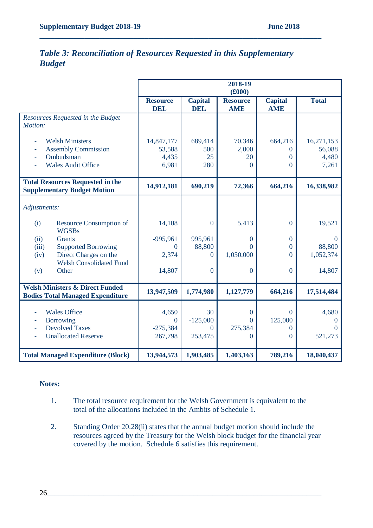# *Table 3: Reconciliation of Resources Requested in this Supplementary Budget*

**\_\_\_\_\_\_\_\_\_\_\_\_\_\_\_\_\_\_\_\_\_\_\_\_\_\_\_\_\_\_\_\_\_\_\_\_\_\_\_\_\_\_\_\_\_\_\_\_\_\_\_\_\_\_\_\_\_\_\_\_\_\_\_\_\_\_\_\_\_\_\_\_\_\_\_**

|                                                                                                |                                        |                              | 2018-19<br>(f000)             |                              |                                        |
|------------------------------------------------------------------------------------------------|----------------------------------------|------------------------------|-------------------------------|------------------------------|----------------------------------------|
|                                                                                                | <b>Resource</b><br><b>DEL</b>          | <b>Capital</b><br><b>DEL</b> | <b>Resource</b><br><b>AME</b> | <b>Capital</b><br><b>AME</b> | <b>Total</b>                           |
| Resources Requested in the Budget<br>Motion:                                                   |                                        |                              |                               |                              |                                        |
| <b>Welsh Ministers</b><br><b>Assembly Commission</b><br>Ombudsman<br><b>Wales Audit Office</b> | 14,847,177<br>53,588<br>4,435<br>6,981 | 689,414<br>500<br>25<br>280  | 70,346<br>2,000<br>20<br>0    | 664,216<br>0<br>0<br>0       | 16,271,153<br>56,088<br>4,480<br>7,261 |
| <b>Total Resources Requested in the</b><br><b>Supplementary Budget Motion</b>                  | 14,912,181                             | 690,219                      | 72,366                        | 664,216                      | 16,338,982                             |
| Adjustments:                                                                                   |                                        |                              |                               |                              |                                        |
| (i)<br><b>Resource Consumption of</b><br><b>WGSBs</b>                                          | 14,108                                 | $\mathbf{0}$                 | 5,413                         | $\overline{0}$               | 19,521                                 |
| (ii)<br><b>Grants</b>                                                                          | $-995,961$                             | 995,961                      | 0                             | $\overline{0}$               | $\theta$                               |
| <b>Supported Borrowing</b><br>(iii)                                                            | $\theta$                               | 88,800                       | $\Omega$                      | 0                            | 88,800                                 |
| Direct Charges on the<br>(iv)                                                                  | 2,374                                  | $\Omega$                     | 1,050,000                     | $\Omega$                     | 1,052,374                              |
| <b>Welsh Consolidated Fund</b><br>Other<br>(v)                                                 | 14,807                                 | $\mathbf{0}$                 | $\overline{0}$                | $\overline{0}$               | 14,807                                 |
| <b>Welsh Ministers &amp; Direct Funded</b><br><b>Bodies Total Managed Expenditure</b>          | 13,947,509                             | 1,774,980                    | 1,127,779                     | 664,216                      | 17,514,484                             |
|                                                                                                |                                        |                              |                               |                              |                                        |
| <b>Wales Office</b><br><b>Borrowing</b>                                                        | 4,650<br>$\overline{0}$                | 30<br>$-125,000$             | $\overline{0}$<br>$\Omega$    | $\overline{0}$<br>125,000    | 4,680<br>$\theta$                      |
| <b>Devolved Taxes</b>                                                                          | $-275,384$                             | $\overline{0}$               | 275,384                       | 0                            | $\Omega$                               |
| <b>Unallocated Reserve</b>                                                                     | 267,798                                | 253,475                      | $\overline{0}$                | 0                            | 521,273                                |
| <b>Total Managed Expenditure (Block)</b>                                                       | 13,944,573                             | 1,903,485                    | 1,403,163                     | 789,216                      | 18,040,437                             |

#### **Notes:**

- 1. The total resource requirement for the Welsh Government is equivalent to the total of the allocations included in the Ambits of Schedule 1.
- 2. Standing Order 20.28(ii) states that the annual budget motion should include the resources agreed by the Treasury for the Welsh block budget for the financial year covered by the motion. Schedule 6 satisfies this requirement.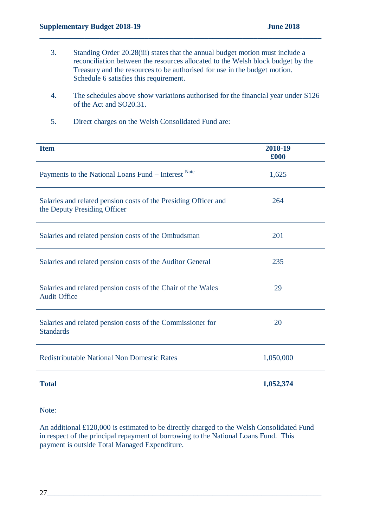3. Standing Order 20.28(iii) states that the annual budget motion must include a reconciliation between the resources allocated to the Welsh block budget by the Treasury and the resources to be authorised for use in the budget motion. Schedule 6 satisfies this requirement.

**\_\_\_\_\_\_\_\_\_\_\_\_\_\_\_\_\_\_\_\_\_\_\_\_\_\_\_\_\_\_\_\_\_\_\_\_\_\_\_\_\_\_\_\_\_\_\_\_\_\_\_\_\_\_\_\_\_\_\_\_\_\_\_\_\_\_\_\_\_\_\_\_\_\_\_**

- 4. The schedules above show variations authorised for the financial year under S126 of the Act and SO20.31.
- 5. Direct charges on the Welsh Consolidated Fund are:

| <b>Item</b>                                                                                     | 2018-19<br>£000 |
|-------------------------------------------------------------------------------------------------|-----------------|
| Payments to the National Loans Fund - Interest Note                                             | 1,625           |
| Salaries and related pension costs of the Presiding Officer and<br>the Deputy Presiding Officer | 264             |
| Salaries and related pension costs of the Ombudsman                                             | 201             |
| Salaries and related pension costs of the Auditor General                                       | 235             |
| Salaries and related pension costs of the Chair of the Wales<br><b>Audit Office</b>             | 29              |
| Salaries and related pension costs of the Commissioner for<br><b>Standards</b>                  | 20              |
| <b>Redistributable National Non Domestic Rates</b>                                              | 1,050,000       |
| <b>Total</b>                                                                                    | 1,052,374       |

#### Note:

An additional £120,000 is estimated to be directly charged to the Welsh Consolidated Fund in respect of the principal repayment of borrowing to the National Loans Fund. This payment is outside Total Managed Expenditure.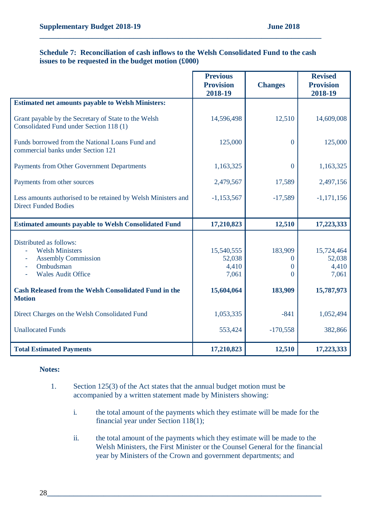#### **Schedule 7: Reconciliation of cash inflows to the Welsh Consolidated Fund to the cash issues to be requested in the budget motion (£000)**

**\_\_\_\_\_\_\_\_\_\_\_\_\_\_\_\_\_\_\_\_\_\_\_\_\_\_\_\_\_\_\_\_\_\_\_\_\_\_\_\_\_\_\_\_\_\_\_\_\_\_\_\_\_\_\_\_\_\_\_\_\_\_\_\_\_\_\_\_\_\_\_\_\_\_\_**

|                                                                                                                                                  | <b>Previous</b><br><b>Provision</b><br>2018-19 | <b>Changes</b>                | <b>Revised</b><br><b>Provision</b><br>2018-19 |
|--------------------------------------------------------------------------------------------------------------------------------------------------|------------------------------------------------|-------------------------------|-----------------------------------------------|
| <b>Estimated net amounts payable to Welsh Ministers:</b>                                                                                         |                                                |                               |                                               |
| Grant payable by the Secretary of State to the Welsh<br>Consolidated Fund under Section 118 (1)                                                  | 14,596,498                                     | 12,510                        | 14,609,008                                    |
| Funds borrowed from the National Loans Fund and<br>commercial banks under Section 121                                                            | 125,000                                        | $\overline{0}$                | 125,000                                       |
| Payments from Other Government Departments                                                                                                       | 1,163,325                                      | $\overline{0}$                | 1,163,325                                     |
| Payments from other sources                                                                                                                      | 2,479,567                                      | 17,589                        | 2,497,156                                     |
| Less amounts authorised to be retained by Welsh Ministers and<br><b>Direct Funded Bodies</b>                                                     | $-1,153,567$                                   | $-17,589$                     | $-1,171,156$                                  |
| <b>Estimated amounts payable to Welsh Consolidated Fund</b>                                                                                      | 17,210,823                                     | 12,510                        | 17,223,333                                    |
| Distributed as follows:<br><b>Welsh Ministers</b><br><b>Assembly Commission</b><br>۰<br>Ombudsman<br>$\blacksquare$<br><b>Wales Audit Office</b> | 15,540,555<br>52,038<br>4,410<br>7,061         | 183,909<br>$\theta$<br>0<br>0 | 15,724,464<br>52,038<br>4,410<br>7,061        |
| <b>Cash Released from the Welsh Consolidated Fund in the</b><br><b>Motion</b>                                                                    | 15,604,064                                     | 183,909                       | 15,787,973                                    |
| Direct Charges on the Welsh Consolidated Fund                                                                                                    | 1,053,335                                      | $-841$                        | 1,052,494                                     |
| <b>Unallocated Funds</b>                                                                                                                         | 553,424                                        | $-170,558$                    | 382,866                                       |
| <b>Total Estimated Payments</b>                                                                                                                  | 17,210,823                                     | 12,510                        | 17,223,333                                    |

#### **Notes:**

- 1. Section 125(3) of the Act states that the annual budget motion must be accompanied by a written statement made by Ministers showing:
	- i. the total amount of the payments which they estimate will be made for the financial year under Section 118(1);
	- ii. the total amount of the payments which they estimate will be made to the Welsh Ministers, the First Minister or the Counsel General for the financial year by Ministers of the Crown and government departments; and